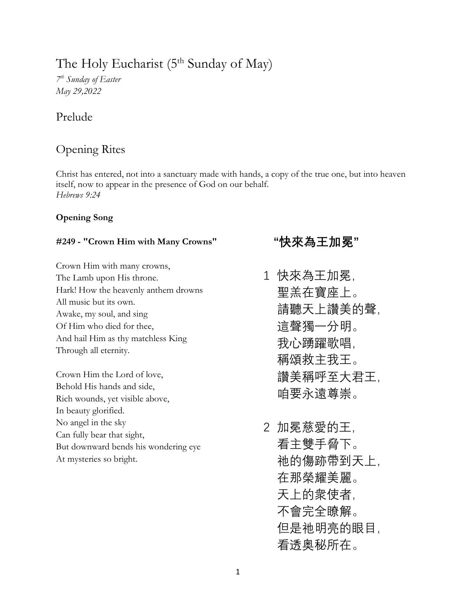# The Holy Eucharist  $(5<sup>th</sup>$  Sunday of May)

*7 th Sunday of Easter May 29,2022*

# Prelude

# Opening Rites

Christ has entered, not into a sanctuary made with hands, a copy of the true one, but into heaven itself, now to appear in the presence of God on our behalf. *Hebrews 9:24*

### **Opening Song**

### **#249 - "Crown Him with Many Crowns"**

Crown Him with many crowns, The Lamb upon His throne. Hark! How the heavenly anthem drowns All music but its own. Awake, my soul, and sing Of Him who died for thee, And hail Him as thy matchless King Through all eternity.

Crown Him the Lord of love, Behold His hands and side, Rich wounds, yet visible above, In beauty glorified. No angel in the sky Can fully bear that sight, But downward bends his wondering eye At mysteries so bright.

# **"快來為王加冕"**

- 1 快來為王加冕, 聖羔在寶座上。 請聽天上讚美的聲, 這聲獨一分明。 我心踴躍歌唱, 稱頌救主我王。 讚美稱呼至大君王, 咱要永遠尊崇。
- 2 加冕慈愛的王, 看主雙手脅下。 祂的傷跡帶到天上, 在那榮耀美麗。 天上的衆使者, 不會完全瞭解。 但是祂明亮的眼目, 看透奥秘所在。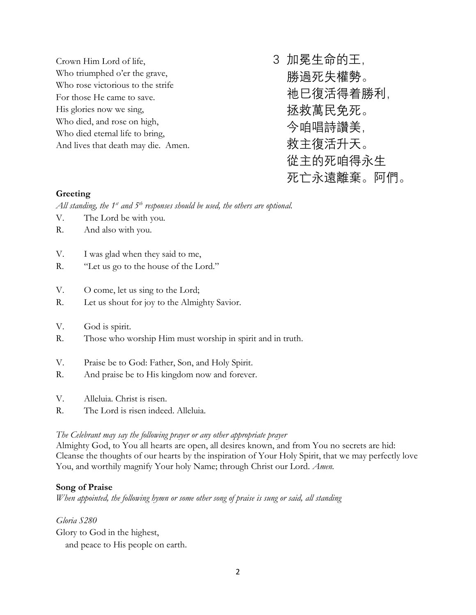Crown Him Lord of life, Who triumphed o'er the grave, Who rose victorious to the strife For those He came to save. His glories now we sing, Who died, and rose on high, Who died eternal life to bring, And lives that death may die. Amen. 3 加冕生命的王, 勝過死失權勢。 祂巳復活得着勝利, 拯救萬民免死。 今咱唱詩讚美, 救主復活升天。 從主的死咱得永生

死亡永遠離棄。阿們。

### **Greeting**

*All standing, the 1st and 5th responses should be used, the others are optional.*

- V. The Lord be with you.
- R. And also with you.
- V. I was glad when they said to me,
- R. "Let us go to the house of the Lord."
- V. O come, let us sing to the Lord;
- R. Let us shout for joy to the Almighty Savior.
- V. God is spirit.
- R. Those who worship Him must worship in spirit and in truth.
- V. Praise be to God: Father, Son, and Holy Spirit.
- R. And praise be to His kingdom now and forever.
- V. Alleluia. Christ is risen.
- R. The Lord is risen indeed. Alleluia.

### *The Celebrant may say the following prayer or any other appropriate prayer*

Almighty God, to You all hearts are open, all desires known, and from You no secrets are hid: Cleanse the thoughts of our hearts by the inspiration of Your Holy Spirit, that we may perfectly love You, and worthily magnify Your holy Name; through Christ our Lord. *Amen.*

### **Song of Praise**

*When appointed, the following hymn or some other song of praise is sung or said, all standing*

*Gloria S280* Glory to God in the highest, and peace to His people on earth.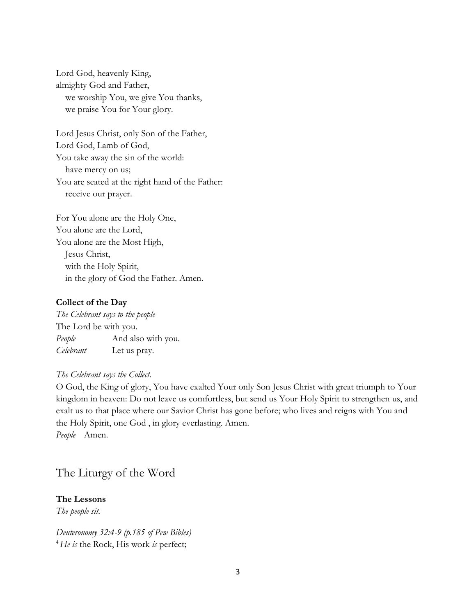Lord God, heavenly King, almighty God and Father, we worship You, we give You thanks, we praise You for Your glory.

Lord Jesus Christ, only Son of the Father, Lord God, Lamb of God, You take away the sin of the world: have mercy on us; You are seated at the right hand of the Father: receive our prayer.

For You alone are the Holy One, You alone are the Lord, You alone are the Most High, Jesus Christ, with the Holy Spirit, in the glory of God the Father. Amen.

#### **Collect of the Day**

*The Celebrant says to the people* The Lord be with you. *People* And also with you. *Celebrant* Let us pray.

#### *The Celebrant says the Collect.*

O God, the King of glory, You have exalted Your only Son Jesus Christ with great triumph to Your kingdom in heaven: Do not leave us comfortless, but send us Your Holy Spirit to strengthen us, and exalt us to that place where our Savior Christ has gone before; who lives and reigns with You and the Holy Spirit, one God , in glory everlasting. Amen. *People* Amen.

# The Liturgy of the Word

### **The Lessons**

*The people sit.* 

*Deuteronomy 32:4-9 (p.185 of Pew Bibles)* <sup>4</sup>*He is* the Rock, His work *is* perfect;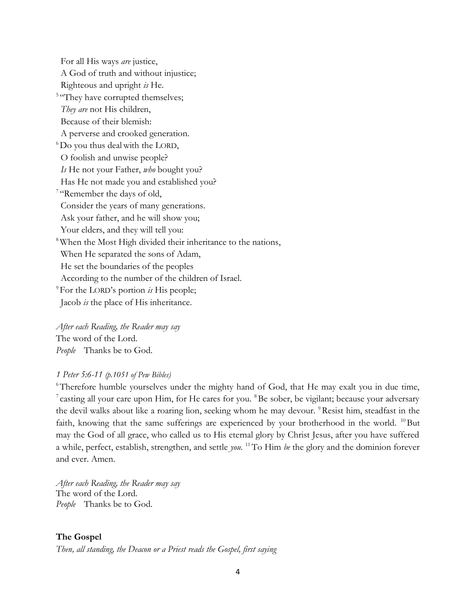For all His ways *are* justice, A God of truth and without injustice; Righteous and upright *is* He. <sup>5 "</sup>They have corrupted themselves;  *They are* not His children, Because of their blemish: A perverse and crooked generation.  ${}^{6}$ Do you thus deal with the LORD, O foolish and unwise people?  *Is* He not your Father, *who* bought you? Has He not made you and established you? <sup>7</sup> "Remember the days of old, Consider the years of many generations. Ask your father, and he will show you; Your elders, and they will tell you: <sup>8</sup>When the Most High divided their inheritance to the nations, When He separated the sons of Adam, He set the boundaries of the peoples According to the number of the children of Israel. <sup>9</sup> For the LORD's portion *is* His people; Jacob *is* the place of His inheritance.

*After each Reading, the Reader may say* The word of the Lord. *People* Thanks be to God.

### *1 Peter 5:6-11 (p.1051 of Pew Bibles)*

<sup>6</sup>Therefore humble yourselves under the mighty hand of God, that He may exalt you in due time, <sup>7</sup> casting all your care upon Him, for He cares for you. <sup>8</sup>Be sober, be vigilant; because your adversary the devil walks about like a roaring lion, seeking whom he may devour. <sup>9</sup>Resist him, steadfast in the faith, knowing that the same sufferings are experienced by your brotherhood in the world. <sup>10</sup>But may the God of all grace, who called us to His eternal glory by Christ Jesus, after you have suffered a while, perfect, establish, strengthen, and settle *you.* <sup>11</sup>To Him *be* the glory and the dominion forever and ever. Amen.

*After each Reading, the Reader may say* The word of the Lord. *People* Thanks be to God.

### **The Gospel**

*Then, all standing, the Deacon or a Priest reads the Gospel, first saying*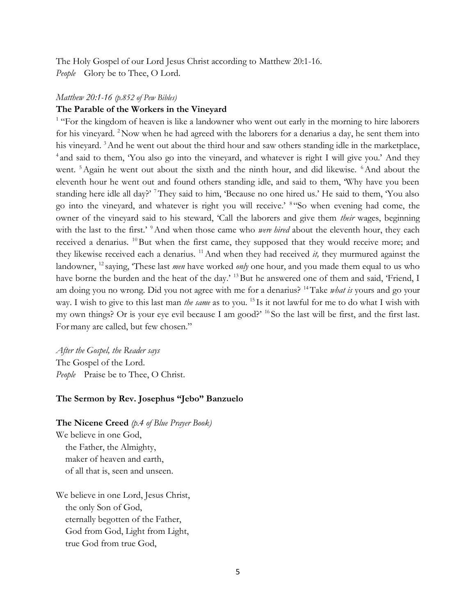The Holy Gospel of our Lord Jesus Christ according to Matthew 20:1-16. *People* Glory be to Thee, O Lord.

#### *Matthew 20:1-16 (p.852 of Pew Bibles)*

### **The Parable of the Workers in the Vineyard**

<sup>1</sup> "For the kingdom of heaven is like a landowner who went out early in the morning to hire laborers for his vineyard. <sup>2</sup>Now when he had agreed with the laborers for a denarius a day, he sent them into his vineyard. <sup>3</sup> And he went out about the third hour and saw others standing idle in the marketplace, <sup>4</sup> and said to them, 'You also go into the vineyard, and whatever is right I will give you.' And they went. <sup>5</sup> Again he went out about the sixth and the ninth hour, and did likewise. <sup>6</sup> And about the eleventh hour he went out and found others standing idle, and said to them, 'Why have you been standing here idle all day?' <sup>7</sup>They said to him, 'Because no one hired us.' He said to them, 'You also go into the vineyard, and whatever is right you will receive.' <sup>8</sup> "So when evening had come, the owner of the vineyard said to his steward, 'Call the laborers and give them *their* wages, beginning with the last to the first.'<sup>9</sup>And when those came who *were hired* about the eleventh hour, they each received a denarius. <sup>10</sup>But when the first came, they supposed that they would receive more; and they likewise received each a denarius. <sup>11</sup>And when they had received *it,* they murmured against the landowner, <sup>12</sup> saying, 'These last *men* have worked *only* one hour, and you made them equal to us who have borne the burden and the heat of the day.' <sup>13</sup>But he answered one of them and said, 'Friend, I am doing you no wrong. Did you not agree with me for a denarius? <sup>14</sup>Take *what is* yours and go your way. I wish to give to this last man *the same* as to you. <sup>15</sup> Is it not lawful for me to do what I wish with my own things? Or is your eye evil because I am good?' <sup>16</sup> So the last will be first, and the first last. Formany are called, but few chosen."

*After the Gospel, the Reader says* The Gospel of the Lord. *People* Praise be to Thee, O Christ.

#### **The Sermon by Rev. Josephus "Jebo" Banzuelo**

### **The Nicene Creed** *(p.4 of Blue Prayer Book)*

We believe in one God, the Father, the Almighty, maker of heaven and earth, of all that is, seen and unseen.

We believe in one Lord, Jesus Christ, the only Son of God, eternally begotten of the Father, God from God, Light from Light, true God from true God,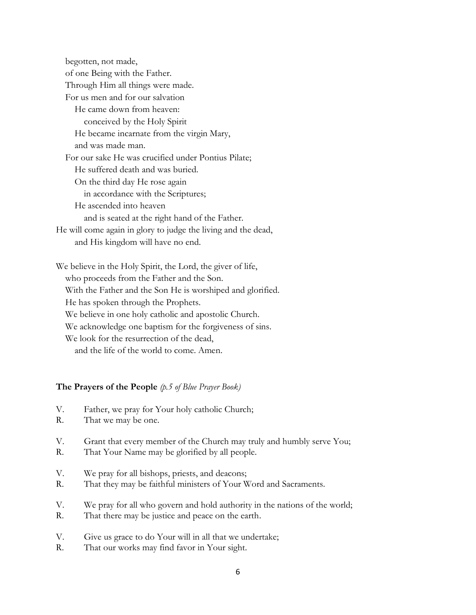begotten, not made, of one Being with the Father. Through Him all things were made. For us men and for our salvation He came down from heaven: conceived by the Holy Spirit He became incarnate from the virgin Mary, and was made man. For our sake He was crucified under Pontius Pilate; He suffered death and was buried. On the third day He rose again in accordance with the Scriptures; He ascended into heaven and is seated at the right hand of the Father. He will come again in glory to judge the living and the dead, and His kingdom will have no end.

We believe in the Holy Spirit, the Lord, the giver of life, who proceeds from the Father and the Son. With the Father and the Son He is worshiped and glorified. He has spoken through the Prophets. We believe in one holy catholic and apostolic Church. We acknowledge one baptism for the forgiveness of sins. We look for the resurrection of the dead. and the life of the world to come. Amen.

### **The Prayers of the People** *(p.5 of Blue Prayer Book)*

- V. Father, we pray for Your holy catholic Church;
- R. That we may be one.
- V. Grant that every member of the Church may truly and humbly serve You;
- R. That Your Name may be glorified by all people.
- V. We pray for all bishops, priests, and deacons;
- R. That they may be faithful ministers of Your Word and Sacraments.
- V. We pray for all who govern and hold authority in the nations of the world;
- R. That there may be justice and peace on the earth.
- V. Give us grace to do Your will in all that we undertake;
- R. That our works may find favor in Your sight.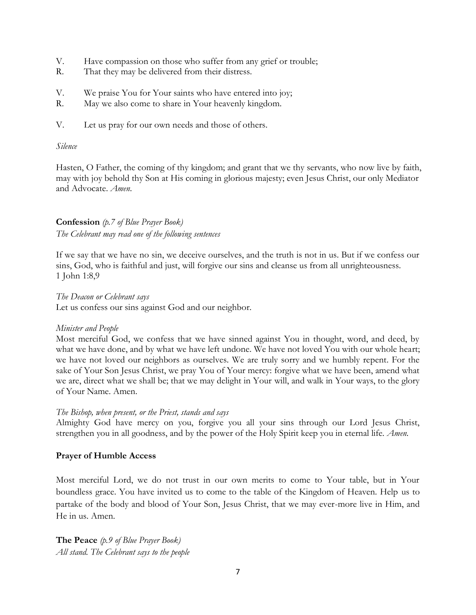- V. Have compassion on those who suffer from any grief or trouble;
- R. That they may be delivered from their distress.
- V. We praise You for Your saints who have entered into joy;
- R. May we also come to share in Your heavenly kingdom.
- V. Let us pray for our own needs and those of others.

### *Silence*

Hasten, O Father, the coming of thy kingdom; and grant that we thy servants, who now live by faith, may with joy behold thy Son at His coming in glorious majesty; even Jesus Christ, our only Mediator and Advocate. *Amen.*

## **Confession** *(p.7 of Blue Prayer Book) The Celebrant may read one of the following sentences*

If we say that we have no sin, we deceive ourselves, and the truth is not in us. But if we confess our sins, God, who is faithful and just, will forgive our sins and cleanse us from all unrighteousness. 1 John 1:8,9

*The Deacon or Celebrant says*

Let us confess our sins against God and our neighbor.

### *Minister and People*

Most merciful God, we confess that we have sinned against You in thought, word, and deed, by what we have done, and by what we have left undone. We have not loved You with our whole heart; we have not loved our neighbors as ourselves. We are truly sorry and we humbly repent. For the sake of Your Son Jesus Christ, we pray You of Your mercy: forgive what we have been, amend what we are, direct what we shall be; that we may delight in Your will, and walk in Your ways, to the glory of Your Name. Amen.

### *The Bishop, when present, or the Priest, stands and says*

Almighty God have mercy on you, forgive you all your sins through our Lord Jesus Christ, strengthen you in all goodness, and by the power of the Holy Spirit keep you in eternal life. *Amen.*

### **Prayer of Humble Access**

Most merciful Lord, we do not trust in our own merits to come to Your table, but in Your boundless grace. You have invited us to come to the table of the Kingdom of Heaven. Help us to partake of the body and blood of Your Son, Jesus Christ, that we may ever-more live in Him, and He in us. Amen.

**The Peace** *(p.9 of Blue Prayer Book) All stand. The Celebrant says to the people*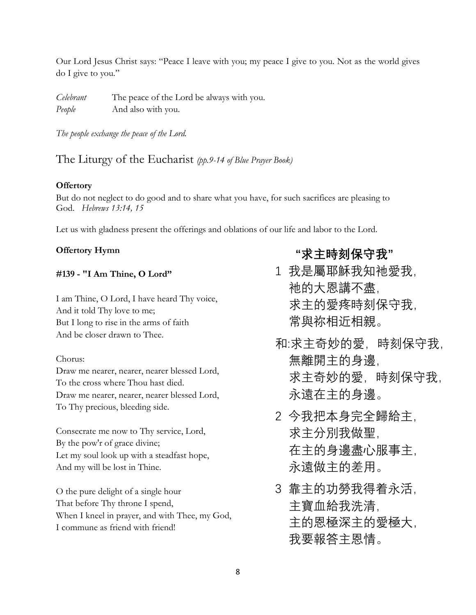Our Lord Jesus Christ says: "Peace I leave with you; my peace I give to you. Not as the world gives do I give to you."

*Celebrant* The peace of the Lord be always with you. *People* And also with you.

*The people exchange the peace of the Lord.*

## The Liturgy of the Eucharist *(pp.9-14 of Blue Prayer Book)*

### **Offertory**

But do not neglect to do good and to share what you have, for such sacrifices are pleasing to God. *Hebrews 13:14, 15*

Let us with gladness present the offerings and oblations of our life and labor to the Lord.

### **Offertory Hymn**

### **#139 - "I Am Thine, O Lord"**

I am Thine, O Lord, I have heard Thy voice, And it told Thy love to me; But I long to rise in the arms of faith And be closer drawn to Thee.

### Chorus:

Draw me nearer, nearer, nearer blessed Lord, To the cross where Thou hast died. Draw me nearer, nearer, nearer blessed Lord, To Thy precious, bleeding side.

Consecrate me now to Thy service, Lord, By the pow'r of grace divine; Let my soul look up with a steadfast hope, And my will be lost in Thine.

O the pure delight of a single hour That before Thy throne I spend, When I kneel in prayer, and with Thee, my God, I commune as friend with friend!

# **"求主時刻保守我"**

- 1 我是屬耶穌我知衪愛我, 衪的大恩講不盡, 求主的愛疼時刻保守我, 常與祢相近相親。
- 和:求主奇妙的愛,時刻保守我, 無離開主的身邊, 求主奇妙的愛, 時刻保守我, 永遠在主的身邊。
- 2 今我把本身完全歸給主, 求主分別我做聖, 在主的身邊盡心服事主, 永遠做主的差用。
- 3 靠主的功勞我得着永活, 主寶血給我洗清, 主的恩極深主的愛極大, 我要報答主恩情。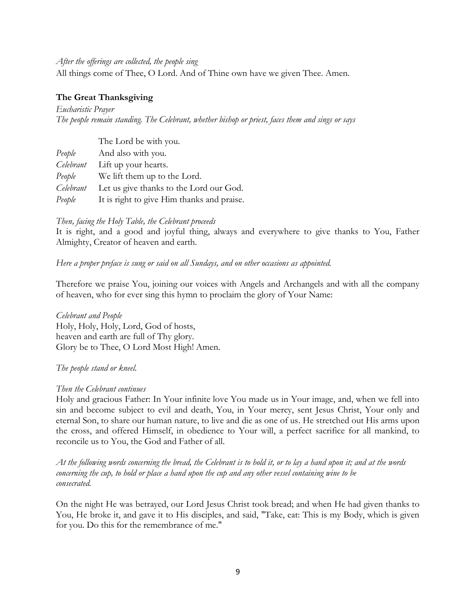### *After the offerings are collected, the people sing*

All things come of Thee, O Lord. And of Thine own have we given Thee. Amen.

### **The Great Thanksgiving**

*Eucharistic Prayer The people remain standing. The Celebrant, whether bishop or priest, faces them and sings or says*

|           | The Lord be with you.                      |
|-----------|--------------------------------------------|
| People    | And also with you.                         |
| Celebrant | Lift up your hearts.                       |
| People    | We lift them up to the Lord.               |
| Celebrant | Let us give thanks to the Lord our God.    |
| People    | It is right to give Him thanks and praise. |

### *Then, facing the Holy Table, the Celebrant proceeds*

It is right, and a good and joyful thing, always and everywhere to give thanks to You, Father Almighty, Creator of heaven and earth.

### *Here a proper preface is sung or said on all Sundays, and on other occasions as appointed.*

Therefore we praise You, joining our voices with Angels and Archangels and with all the company of heaven, who for ever sing this hymn to proclaim the glory of Your Name:

*Celebrant and People* Holy, Holy, Holy, Lord, God of hosts, heaven and earth are full of Thy glory. Glory be to Thee, O Lord Most High! Amen.

### *The people stand or kneel.*

#### *Then the Celebrant continues*

Holy and gracious Father: In Your infinite love You made us in Your image, and, when we fell into sin and become subject to evil and death, You, in Your mercy, sent Jesus Christ, Your only and eternal Son, to share our human nature, to live and die as one of us. He stretched out His arms upon the cross, and offered Himself, in obedience to Your will, a perfect sacrifice for all mankind, to reconcile us to You, the God and Father of all.

*At the following words concerning the bread, the Celebrant is to hold it, or to lay a hand upon it; and at the words concerning the cup, to hold or place a hand upon the cup and any other vessel containing wine to be consecrated.*

On the night He was betrayed, our Lord Jesus Christ took bread; and when He had given thanks to You, He broke it, and gave it to His disciples, and said, "Take, eat: This is my Body, which is given for you. Do this for the remembrance of me."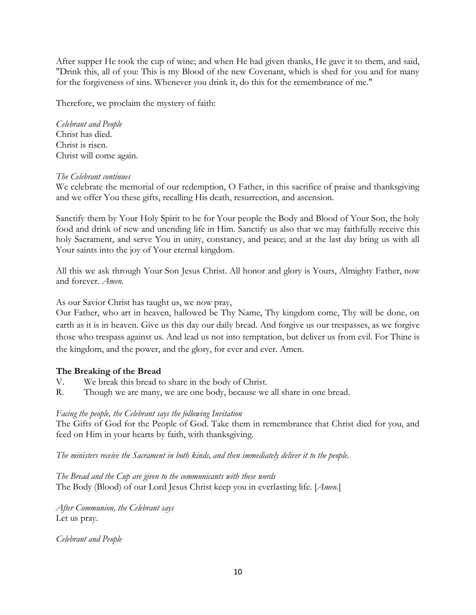After supper He took the cup of wine; and when He had given thanks, He gave it to them, and said, "Drink this, all of you: This is my Blood of the new Covenant, which is shed for you and for many for the forgiveness of sins. Whenever you drink it, do this for the remembrance of me."

Therefore, we proclaim the mystery of faith:

### *Celebrant and People* Christ has died. Christ is risen. Christ will come again.

### *The Celebrant continues*

We celebrate the memorial of our redemption, O Father, in this sacrifice of praise and thanksgiving and we offer You these gifts, recalling His death, resurrection, and ascension.

Sanctify them by Your Holy Spirit to be for Your people the Body and Blood of Your Son, the holy food and drink of new and unending life in Him. Sanctify us also that we may faithfully receive this holy Sacrament, and serve You in unity, constancy, and peace; and at the last day bring us with all Your saints into the joy of Your eternal kingdom.

All this we ask through Your Son Jesus Christ. All honor and glory is Yours, Almighty Father, now and forever. *Amen.*

As our Savior Christ has taught us, we now pray,

Our Father, who art in heaven, hallowed be Thy Name, Thy kingdom come, Thy will be done, on earth as it is in heaven. Give us this day our daily bread. And forgive us our trespasses, as we forgive those who trespass against us. And lead us not into temptation, but deliver us from evil. For Thine is the kingdom, and the power, and the glory, for ever and ever. Amen.

### **The Breaking of the Bread**

- V. We break this bread to share in the body of Christ.
- R. Though we are many, we are one body, because we all share in one bread.

### *Facing the people, the Celebrant says the following Invitation*

The Gifts of God for the People of God. Take them in remembrance that Christ died for you, and feed on Him in your hearts by faith, with thanksgiving.

*The ministers receive the Sacrament in both kinds, and then immediately deliver it to the people.*

*The Bread and the Cup are given to the communicants with these words* The Body (Blood) of our Lord Jesus Christ keep you in everlasting life. [*Amen.*]

*After Communion, the Celebrant says* Let us pray.

*Celebrant and People*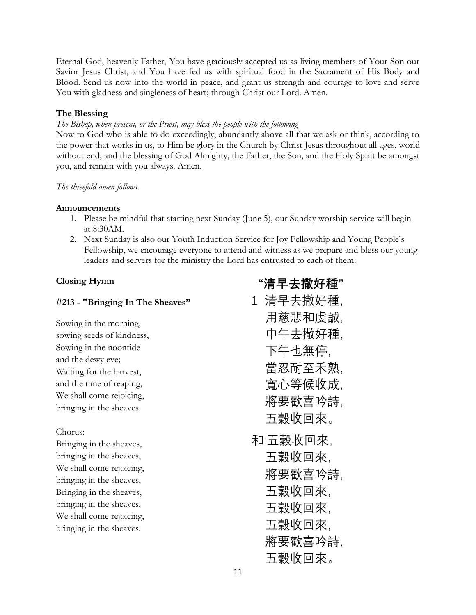Eternal God, heavenly Father, You have graciously accepted us as living members of Your Son our Savior Jesus Christ, and You have fed us with spiritual food in the Sacrament of His Body and Blood. Send us now into the world in peace, and grant us strength and courage to love and serve You with gladness and singleness of heart; through Christ our Lord. Amen.

### **The Blessing**

### *The Bishop, when present, or the Priest, may bless the people with the following*

Now to God who is able to do exceedingly, abundantly above all that we ask or think, according to the power that works in us, to Him be glory in the Church by Christ Jesus throughout all ages, world without end; and the blessing of God Almighty, the Father, the Son, and the Holy Spirit be amongst you, and remain with you always. Amen.

### *The threefold amen follows.*

### **Announcements**

- 1. Please be mindful that starting next Sunday (June 5), our Sunday worship service will begin at 8:30AM.
- 2. Next Sunday is also our Youth Induction Service for Joy Fellowship and Young People's Fellowship, we encourage everyone to attend and witness as we prepare and bless our young leaders and servers for the ministry the Lord has entrusted to each of them.

**"清早去撒好種"**

### **Closing Hymn**

| #213 - "Bringing In The Sheaves"                                                                                                                                                                                                        | 1 清早去撒好種,                                                               |
|-----------------------------------------------------------------------------------------------------------------------------------------------------------------------------------------------------------------------------------------|-------------------------------------------------------------------------|
| Sowing in the morning,<br>sowing seeds of kindness,<br>Sowing in the noontide<br>and the dewy eve;<br>Waiting for the harvest,<br>and the time of reaping,<br>We shall come rejoicing,<br>bringing in the sheaves.                      | 用慈悲和虔誠,<br>中午去撒好種,<br>下午也無停.<br>當忍耐至禾熟.<br>寬心等候收成,<br>將要歡喜吟詩,<br>五穀收回來。 |
| Chorus:<br>Bringing in the sheaves,<br>bringing in the sheaves,<br>We shall come rejoicing,<br>bringing in the sheaves,<br>Bringing in the sheaves,<br>bringing in the sheaves,<br>We shall come rejoicing,<br>bringing in the sheaves. | 和:五穀收回來,<br>五穀收回來,<br>將要歡喜吟詩.<br>五穀收回來,<br>五穀收回來,<br>五穀收回來.<br>將要歡喜吟詩,  |
|                                                                                                                                                                                                                                         | 五穀收回來。                                                                  |